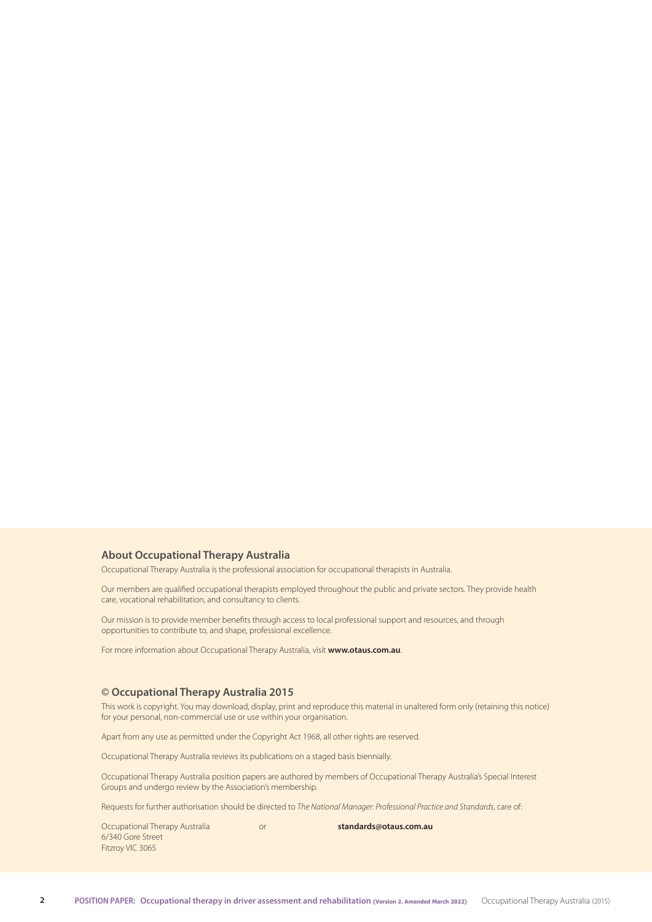#### **About Occupational Therapy Australia**

Occupational Therapy Australia is the professional association for occupational therapists in Australia.

Our members are qualified occupational therapists employed throughout the public and private sectors. They provide health care, vocational rehabilitation, and consultancy to clients.

Our mission is to provide member benefits through access to local professional support and resources, and through opportunities to contribute to, and shape, professional excellence.

For more information about Occupational Therapy Australia, visit **www.otaus.com.au**.

#### **© Occupational Therapy Australia 2015**

This work is copyright. You may download, display, print and reproduce this material in unaltered form only (retaining this notice) for your personal, non-commercial use or use within your organisation.

Apart from any use as permitted under the Copyright Act 1968, all other rights are reserved.

Occupational Therapy Australia reviews its publications on a staged basis biennially.

Occupational Therapy Australia position papers are authored by members of Occupational Therapy Australia's Special Interest Groups and undergo review by the Association's membership.

Requests for further authorisation should be directed to *The National Manager: Professional Practice and Standards*, care of:

Occupational Therapy Australia or **standards@otaus.com.au** 6/340 Gore Street Fitzroy VIC 3065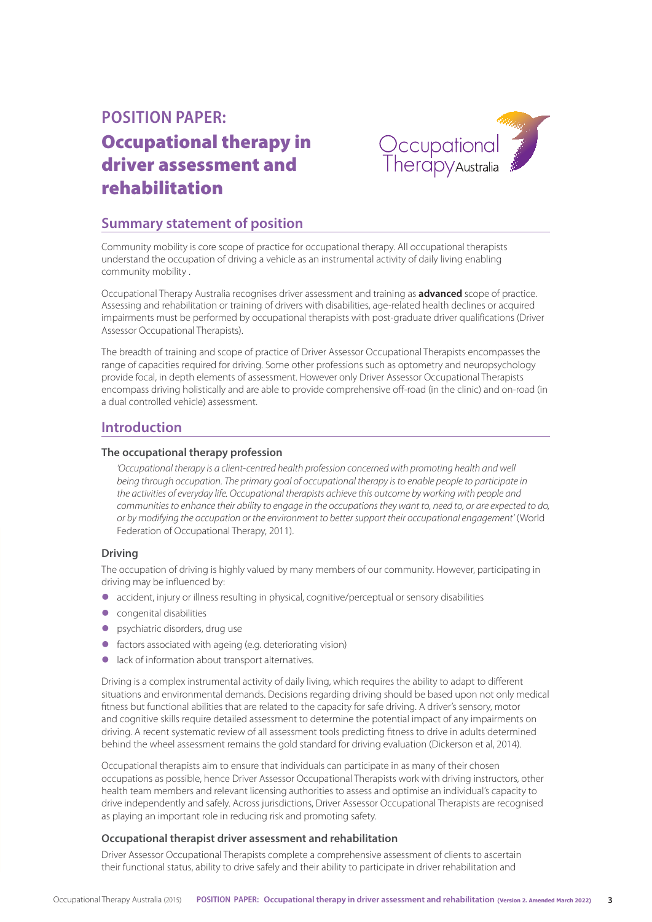# **POSITION PAPER:**

# Occupational therapy in driver assessment and rehabilitation



### **Summary statement of position**

Community mobility is core scope of practice for occupational therapy. All occupational therapists understand the occupation of driving a vehicle as an instrumental activity of daily living enabling community mobility .

Occupational Therapy Australia recognises driver assessment and training as **advanced** scope of practice. Assessing and rehabilitation or training of drivers with disabilities, age-related health declines or acquired impairments must be performed by occupational therapists with post-graduate driver qualifications (Driver Assessor Occupational Therapists).

The breadth of training and scope of practice of Driver Assessor Occupational Therapists encompasses the range of capacities required for driving. Some other professions such as optometry and neuropsychology provide focal, in depth elements of assessment. However only Driver Assessor Occupational Therapists encompass driving holistically and are able to provide comprehensive off-road (in the clinic) and on-road (in a dual controlled vehicle) assessment.

### **Introduction**

#### **The occupational therapy profession**

*'Occupational therapy is a client-centred health profession concerned with promoting health and well being through occupation. The primary goal of occupational therapy is to enable people to participate in the activities of everyday life. Occupational therapists achieve this outcome by working with people and communities to enhance their ability to engage in the occupations they want to, need to, or are expected to do, or by modifying the occupation or the environment to better support their occupational engagement'* (World Federation of Occupational Therapy, 2011).

### **Driving**

The occupation of driving is highly valued by many members of our community. However, participating in driving may be influenced by:

- accident, injury or illness resulting in physical, cognitive/perceptual or sensory disabilities
- $\bullet$  congenital disabilities
- **•** psychiatric disorders, drug use
- factors associated with ageing (e.g. deteriorating vision)
- lack of information about transport alternatives.

Driving is a complex instrumental activity of daily living, which requires the ability to adapt to different situations and environmental demands. Decisions regarding driving should be based upon not only medical fitness but functional abilities that are related to the capacity for safe driving. A driver's sensory, motor and cognitive skills require detailed assessment to determine the potential impact of any impairments on driving. A recent systematic review of all assessment tools predicting fitness to drive in adults determined behind the wheel assessment remains the gold standard for driving evaluation (Dickerson et al, 2014).

Occupational therapists aim to ensure that individuals can participate in as many of their chosen occupations as possible, hence Driver Assessor Occupational Therapists work with driving instructors, other health team members and relevant licensing authorities to assess and optimise an individual's capacity to drive independently and safely. Across jurisdictions, Driver Assessor Occupational Therapists are recognised as playing an important role in reducing risk and promoting safety.

### **Occupational therapist driver assessment and rehabilitation**

Driver Assessor Occupational Therapists complete a comprehensive assessment of clients to ascertain their functional status, ability to drive safely and their ability to participate in driver rehabilitation and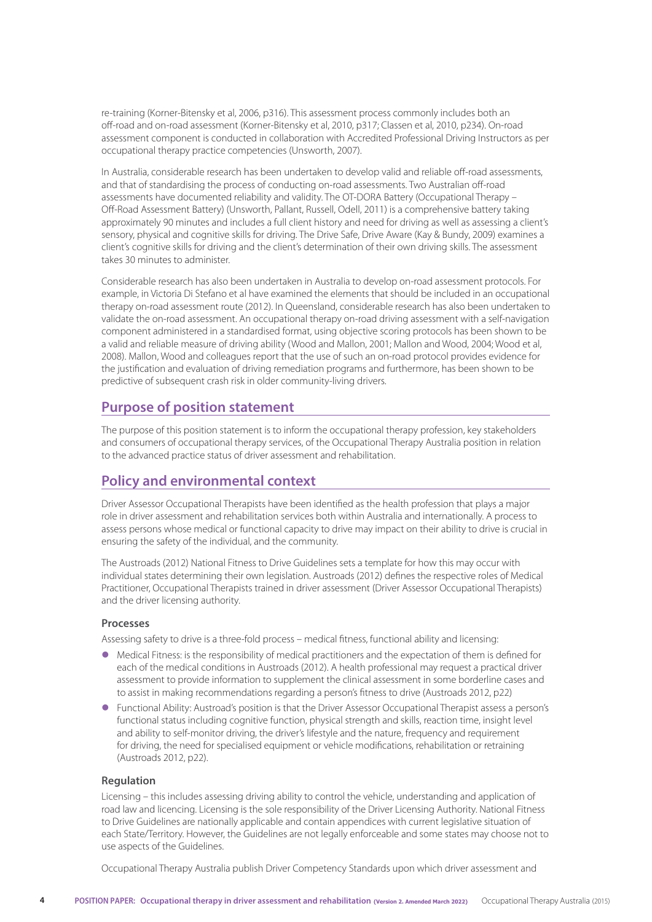re-training (Korner-Bitensky et al, 2006, p316). This assessment process commonly includes both an off-road and on-road assessment (Korner-Bitensky et al, 2010, p317; Classen et al, 2010, p234). On-road assessment component is conducted in collaboration with Accredited Professional Driving Instructors as per occupational therapy practice competencies (Unsworth, 2007).

In Australia, considerable research has been undertaken to develop valid and reliable off-road assessments, and that of standardising the process of conducting on-road assessments. Two Australian off-road assessments have documented reliability and validity. The OT-DORA Battery (Occupational Therapy – Off-Road Assessment Battery) (Unsworth, Pallant, Russell, Odell, 2011) is a comprehensive battery taking approximately 90 minutes and includes a full client history and need for driving as well as assessing a client's sensory, physical and cognitive skills for driving. The Drive Safe, Drive Aware (Kay & Bundy, 2009) examines a client's cognitive skills for driving and the client's determination of their own driving skills. The assessment takes 30 minutes to administer.

Considerable research has also been undertaken in Australia to develop on-road assessment protocols. For example, in Victoria Di Stefano et al have examined the elements that should be included in an occupational therapy on-road assessment route (2012). In Queensland, considerable research has also been undertaken to validate the on-road assessment. An occupational therapy on-road driving assessment with a self-navigation component administered in a standardised format, using objective scoring protocols has been shown to be a valid and reliable measure of driving ability (Wood and Mallon, 2001; Mallon and Wood, 2004; Wood et al, 2008). Mallon, Wood and colleagues report that the use of such an on-road protocol provides evidence for the justification and evaluation of driving remediation programs and furthermore, has been shown to be predictive of subsequent crash risk in older community-living drivers.

## **Purpose of position statement**

The purpose of this position statement is to inform the occupational therapy profession, key stakeholders and consumers of occupational therapy services, of the Occupational Therapy Australia position in relation to the advanced practice status of driver assessment and rehabilitation.

# **Policy and environmental context**

Driver Assessor Occupational Therapists have been identified as the health profession that plays a major role in driver assessment and rehabilitation services both within Australia and internationally. A process to assess persons whose medical or functional capacity to drive may impact on their ability to drive is crucial in ensuring the safety of the individual, and the community.

The Austroads (2012) National Fitness to Drive Guidelines sets a template for how this may occur with individual states determining their own legislation. Austroads (2012) defines the respective roles of Medical Practitioner, Occupational Therapists trained in driver assessment (Driver Assessor Occupational Therapists) and the driver licensing authority.

### **Processes**

Assessing safety to drive is a three-fold process – medical fitness, functional ability and licensing:

- Medical Fitness: is the responsibility of medical practitioners and the expectation of them is defined for each of the medical conditions in Austroads (2012). A health professional may request a practical driver assessment to provide information to supplement the clinical assessment in some borderline cases and to assist in making recommendations regarding a person's fitness to drive (Austroads 2012, p22)
- Functional Ability: Austroad's position is that the Driver Assessor Occupational Therapist assess a person's functional status including cognitive function, physical strength and skills, reaction time, insight level and ability to self-monitor driving, the driver's lifestyle and the nature, frequency and requirement for driving, the need for specialised equipment or vehicle modifications, rehabilitation or retraining (Austroads 2012, p22).

#### **Regulation**

Licensing – this includes assessing driving ability to control the vehicle, understanding and application of road law and licencing. Licensing is the sole responsibility of the Driver Licensing Authority. National Fitness to Drive Guidelines are nationally applicable and contain appendices with current legislative situation of each State/Territory. However, the Guidelines are not legally enforceable and some states may choose not to use aspects of the Guidelines.

Occupational Therapy Australia publish Driver Competency Standards upon which driver assessment and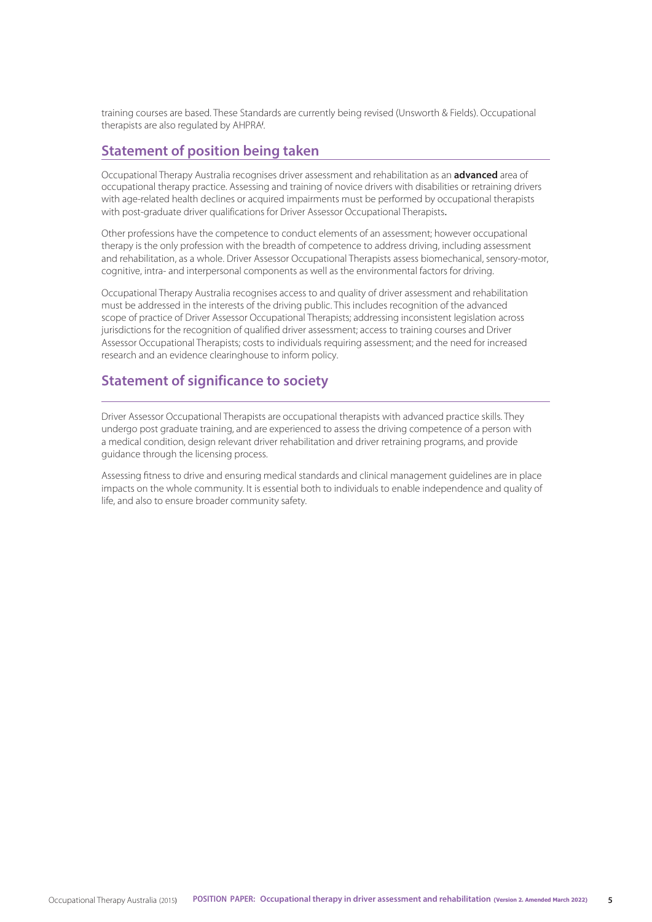training courses are based. These Standards are currently being revised (Unsworth & Fields). Occupational therapists are also regulated by AHPRA*<sup>i</sup>* .

### **Statement of position being taken**

Occupational Therapy Australia recognises driver assessment and rehabilitation as an **advanced** area of occupational therapy practice. Assessing and training of novice drivers with disabilities or retraining drivers with age-related health declines or acquired impairments must be performed by occupational therapists with post-graduate driver qualifications for Driver Assessor Occupational Therapists.

Other professions have the competence to conduct elements of an assessment; however occupational therapy is the only profession with the breadth of competence to address driving, including assessment and rehabilitation, as a whole. Driver Assessor Occupational Therapists assess biomechanical, sensory-motor, cognitive, intra- and interpersonal components as well as the environmental factors for driving.

Occupational Therapy Australia recognises access to and quality of driver assessment and rehabilitation must be addressed in the interests of the driving public. This includes recognition of the advanced scope of practice of Driver Assessor Occupational Therapists; addressing inconsistent legislation across jurisdictions for the recognition of qualified driver assessment; access to training courses and Driver Assessor Occupational Therapists; costs to individuals requiring assessment; and the need for increased research and an evidence clearinghouse to inform policy.

### **Statement of significance to society**

Driver Assessor Occupational Therapists are occupational therapists with advanced practice skills. They undergo post graduate training, and are experienced to assess the driving competence of a person with a medical condition, design relevant driver rehabilitation and driver retraining programs, and provide guidance through the licensing process.

Assessing fitness to drive and ensuring medical standards and clinical management guidelines are in place impacts on the whole community. It is essential both to individuals to enable independence and quality of life, and also to ensure broader community safety.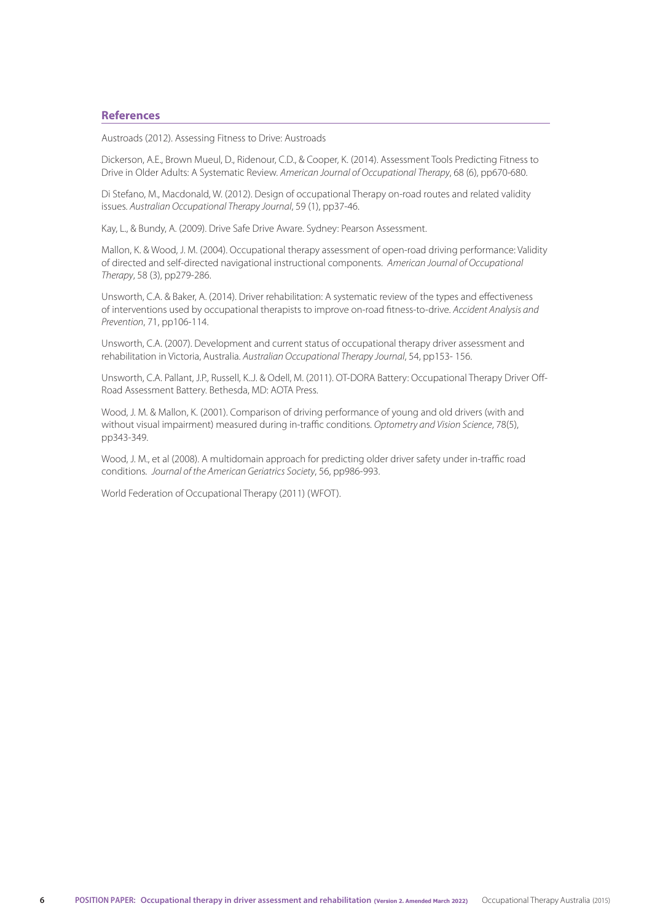#### **References**

Austroads (2012). Assessing Fitness to Drive: Austroads

Dickerson, A.E., Brown Mueul, D., Ridenour, C.D., & Cooper, K. (2014). Assessment Tools Predicting Fitness to Drive in Older Adults: A Systematic Review. *American Journal of Occupational Therapy*, 68 (6), pp670-680.

Di Stefano, M., Macdonald, W. (2012). Design of occupational Therapy on-road routes and related validity issues. *Australian Occupational Therapy Journal*, 59 (1), pp37-46.

Kay, L., & Bundy, A. (2009). Drive Safe Drive Aware. Sydney: Pearson Assessment.

Mallon, K. & Wood, J. M. (2004). Occupational therapy assessment of open-road driving performance: Validity of directed and self-directed navigational instructional components. *American Journal of Occupational Therapy*, 58 (3), pp279-286.

Unsworth, C.A. & Baker, A. (2014). Driver rehabilitation: A systematic review of the types and effectiveness of interventions used by occupational therapists to improve on-road fitness-to-drive. *Accident Analysis and Prevention*, 71, pp106-114.

Unsworth, C.A. (2007). Development and current status of occupational therapy driver assessment and rehabilitation in Victoria, Australia. *Australian Occupational Therapy Journal*, 54, pp153- 156.

Unsworth, C.A. Pallant, J.P., Russell, K..J. & Odell, M. (2011). OT-DORA Battery: Occupational Therapy Driver Off-Road Assessment Battery. Bethesda, MD: AOTA Press.

Wood, J. M. & Mallon, K. (2001). Comparison of driving performance of young and old drivers (with and without visual impairment) measured during in-traffic conditions. *Optometry and Vision Science*, 78(5), pp343-349.

Wood, J. M., et al (2008). A multidomain approach for predicting older driver safety under in-traffic road conditions. *Journal of the American Geriatrics Society*, 56, pp986-993.

World Federation of Occupational Therapy (2011) (WFOT).